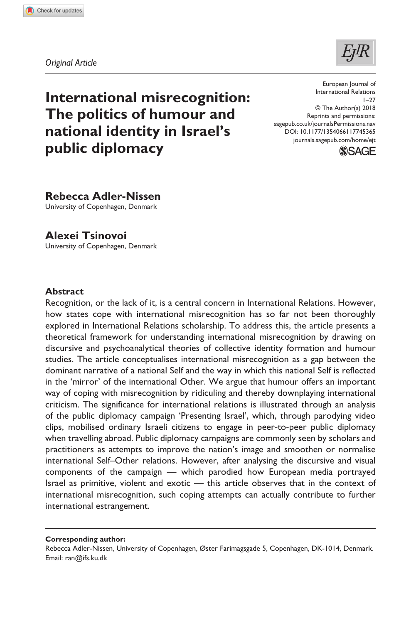**7453[65](http://crossmark.crossref.org/dialog/?doi=10.1177%2F1354066117745365&domain=pdf&date_stamp=2018-01-19)**EJT0010.1177/1354066117745365European Journal of International Relations**Adler-Nissen and Tsinovoi**



*Original Article*

# **International misrecognition: The politics of humour and national identity in Israel's public diplomacy**

DOI: 10.1177/1354066117745365 European Journal of International Relations  $1 - 27$ © The Author(s) 2018 Reprints and permissions: [sagepub.co.uk/journalsPermissions.nav](https://uk.sagepub.com/en-gb/journals-permissions) [journals.sagepub.com/home/ejt](https://journals.sagepub.com/home/ejt
)



**Rebecca Adler-Nissen**

University of Copenhagen, Denmark

**Alexei Tsinovoi** University of Copenhagen, Denmark

### **Abstract**

Recognition, or the lack of it, is a central concern in International Relations. However, how states cope with international misrecognition has so far not been thoroughly explored in International Relations scholarship. To address this, the article presents a theoretical framework for understanding international misrecognition by drawing on discursive and psychoanalytical theories of collective identity formation and humour studies. The article conceptualises international misrecognition as a gap between the dominant narrative of a national Self and the way in which this national Self is reflected in the 'mirror' of the international Other. We argue that humour offers an important way of coping with misrecognition by ridiculing and thereby downplaying international criticism. The significance for international relations is illustrated through an analysis of the public diplomacy campaign 'Presenting Israel', which, through parodying video clips, mobilised ordinary Israeli citizens to engage in peer-to-peer public diplomacy when travelling abroad. Public diplomacy campaigns are commonly seen by scholars and practitioners as attempts to improve the nation's image and smoothen or normalise international Self–Other relations. However, after analysing the discursive and visual components of the campaign — which parodied how European media portrayed Israel as primitive, violent and exotic — this article observes that in the context of international misrecognition, such coping attempts can actually contribute to further international estrangement.

**Corresponding author:**

Rebecca Adler-Nissen, University of Copenhagen, Øster Farimagsgade 5, Copenhagen, DK-1014, Denmark. Email: [ran@ifs.ku.dk](mailto:ran@ifs.ku.dk)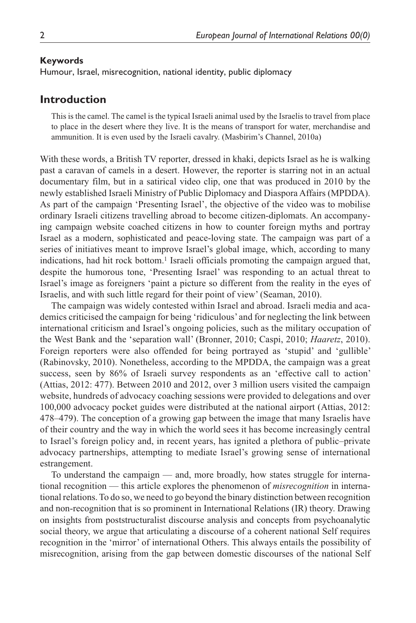#### **Keywords**

Humour, Israel, misrecognition, national identity, public diplomacy

### **Introduction**

This is the camel. The camel is the typical Israeli animal used by the Israelis to travel from place to place in the desert where they live. It is the means of transport for water, merchandise and ammunition. It is even used by the Israeli cavalry. (Masbirim's Channel, 2010a)

With these words, a British TV reporter, dressed in khaki, depicts Israel as he is walking past a caravan of camels in a desert. However, the reporter is starring not in an actual documentary film, but in a satirical video clip, one that was produced in 2010 by the newly established Israeli Ministry of Public Diplomacy and Diaspora Affairs (MPDDA). As part of the campaign 'Presenting Israel', the objective of the video was to mobilise ordinary Israeli citizens travelling abroad to become citizen-diplomats. An accompanying campaign website coached citizens in how to counter foreign myths and portray Israel as a modern, sophisticated and peace-loving state. The campaign was part of a series of initiatives meant to improve Israel's global image, which, according to many indications, had hit rock bottom.<sup>1</sup> Israeli officials promoting the campaign argued that, despite the humorous tone, 'Presenting Israel' was responding to an actual threat to Israel's image as foreigners 'paint a picture so different from the reality in the eyes of Israelis, and with such little regard for their point of view' (Seaman, 2010).

The campaign was widely contested within Israel and abroad. Israeli media and academics criticised the campaign for being 'ridiculous' and for neglecting the link between international criticism and Israel's ongoing policies, such as the military occupation of the West Bank and the 'separation wall' (Bronner, 2010; Caspi, 2010; *Haaretz*, 2010). Foreign reporters were also offended for being portrayed as 'stupid' and 'gullible' (Rabinovsky, 2010). Nonetheless, according to the MPDDA, the campaign was a great success, seen by 86% of Israeli survey respondents as an 'effective call to action' (Attias, 2012: 477). Between 2010 and 2012, over 3 million users visited the campaign website, hundreds of advocacy coaching sessions were provided to delegations and over 100,000 advocacy pocket guides were distributed at the national airport (Attias, 2012: 478–479). The conception of a growing gap between the image that many Israelis have of their country and the way in which the world sees it has become increasingly central to Israel's foreign policy and, in recent years, has ignited a plethora of public–private advocacy partnerships, attempting to mediate Israel's growing sense of international estrangement.

To understand the campaign — and, more broadly, how states struggle for international recognition — this article explores the phenomenon of *misrecognition* in international relations. To do so, we need to go beyond the binary distinction between recognition and non-recognition that is so prominent in International Relations (IR) theory. Drawing on insights from poststructuralist discourse analysis and concepts from psychoanalytic social theory, we argue that articulating a discourse of a coherent national Self requires recognition in the 'mirror' of international Others. This always entails the possibility of misrecognition, arising from the gap between domestic discourses of the national Self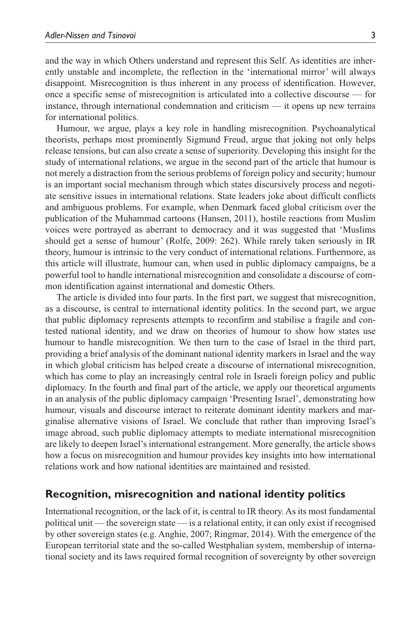and the way in which Others understand and represent this Self. As identities are inherently unstable and incomplete, the reflection in the 'international mirror' will always disappoint. Misrecognition is thus inherent in any process of identification. However, once a specific sense of misrecognition is articulated into a collective discourse — for instance, through international condemnation and criticism — it opens up new terrains for international politics.

Humour, we argue, plays a key role in handling misrecognition. Psychoanalytical theorists, perhaps most prominently Sigmund Freud, argue that joking not only helps release tensions, but can also create a sense of superiority. Developing this insight for the study of international relations, we argue in the second part of the article that humour is not merely a distraction from the serious problems of foreign policy and security; humour is an important social mechanism through which states discursively process and negotiate sensitive issues in international relations. State leaders joke about difficult conflicts and ambiguous problems. For example, when Denmark faced global criticism over the publication of the Muhammad cartoons (Hansen, 2011), hostile reactions from Muslim voices were portrayed as aberrant to democracy and it was suggested that 'Muslims should get a sense of humour' (Rolfe, 2009: 262). While rarely taken seriously in IR theory, humour is intrinsic to the very conduct of international relations. Furthermore, as this article will illustrate, humour can, when used in public diplomacy campaigns, be a powerful tool to handle international misrecognition and consolidate a discourse of common identification against international and domestic Others.

The article is divided into four parts. In the first part, we suggest that misrecognition, as a discourse, is central to international identity politics. In the second part, we argue that public diplomacy represents attempts to reconfirm and stabilise a fragile and contested national identity, and we draw on theories of humour to show how states use humour to handle misrecognition. We then turn to the case of Israel in the third part, providing a brief analysis of the dominant national identity markers in Israel and the way in which global criticism has helped create a discourse of international misrecognition, which has come to play an increasingly central role in Israeli foreign policy and public diplomacy. In the fourth and final part of the article, we apply our theoretical arguments in an analysis of the public diplomacy campaign 'Presenting Israel', demonstrating how humour, visuals and discourse interact to reiterate dominant identity markers and marginalise alternative visions of Israel. We conclude that rather than improving Israel's image abroad, such public diplomacy attempts to mediate international misrecognition are likely to deepen Israel's international estrangement. More generally, the article shows how a focus on misrecognition and humour provides key insights into how international relations work and how national identities are maintained and resisted.

# **Recognition, misrecognition and national identity politics**

International recognition, or the lack of it, is central to IR theory. As its most fundamental political unit — the sovereign state — is a relational entity, it can only exist if recognised by other sovereign states (e.g. Anghie, 2007; Ringmar, 2014). With the emergence of the European territorial state and the so-called Westphalian system, membership of international society and its laws required formal recognition of sovereignty by other sovereign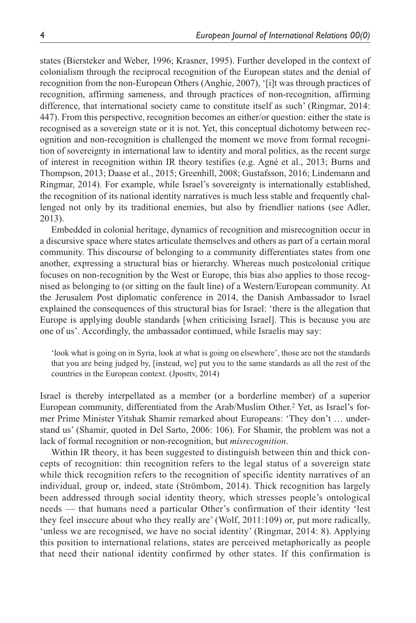states (Biersteker and Weber, 1996; Krasner, 1995). Further developed in the context of colonialism through the reciprocal recognition of the European states and the denial of recognition from the non-European Others (Anghie, 2007), '[i]t was through practices of recognition, affirming sameness, and through practices of non-recognition, affirming difference, that international society came to constitute itself as such' (Ringmar, 2014: 447). From this perspective, recognition becomes an either/or question: either the state is recognised as a sovereign state or it is not. Yet, this conceptual dichotomy between recognition and non-recognition is challenged the moment we move from formal recognition of sovereignty in international law to identity and moral politics, as the recent surge of interest in recognition within IR theory testifies (e.g. Agné et al., 2013; Burns and Thompson, 2013; Daase et al., 2015; Greenhill, 2008; Gustafsson, 2016; Lindemann and Ringmar, 2014). For example, while Israel's sovereignty is internationally established, the recognition of its national identity narratives is much less stable and frequently challenged not only by its traditional enemies, but also by friendlier nations (see Adler, 2013).

Embedded in colonial heritage, dynamics of recognition and misrecognition occur in a discursive space where states articulate themselves and others as part of a certain moral community. This discourse of belonging to a community differentiates states from one another, expressing a structural bias or hierarchy. Whereas much postcolonial critique focuses on non-recognition by the West or Europe, this bias also applies to those recognised as belonging to (or sitting on the fault line) of a Western/European community. At the Jerusalem Post diplomatic conference in 2014, the Danish Ambassador to Israel explained the consequences of this structural bias for Israel: 'there is the allegation that Europe is applying double standards [when criticising Israel]. This is because you are one of us'. Accordingly, the ambassador continued, while Israelis may say:

'look what is going on in Syria, look at what is going on elsewhere', those are not the standards that you are being judged by, [instead, we] put you to the same standards as all the rest of the countries in the European context. (Jposttv, 2014)

Israel is thereby interpellated as a member (or a borderline member) of a superior European community, differentiated from the Arab/Muslim Other.<sup>2</sup> Yet, as Israel's former Prime Minister Yitshak Shamir remarked about Europeans: 'They don't … understand us' (Shamir, quoted in Del Sarto, 2006: 106). For Shamir, the problem was not a lack of formal recognition or non-recognition, but *misrecognition*.

Within IR theory, it has been suggested to distinguish between thin and thick concepts of recognition: thin recognition refers to the legal status of a sovereign state while thick recognition refers to the recognition of specific identity narratives of an individual, group or, indeed, state (Strömbom, 2014). Thick recognition has largely been addressed through social identity theory, which stresses people's ontological needs — that humans need a particular Other's confirmation of their identity 'lest they feel insecure about who they really are' (Wolf, 2011:109) or, put more radically, 'unless we are recognised, we have no social identity' (Ringmar, 2014: 8). Applying this position to international relations, states are perceived metaphorically as people that need their national identity confirmed by other states. If this confirmation is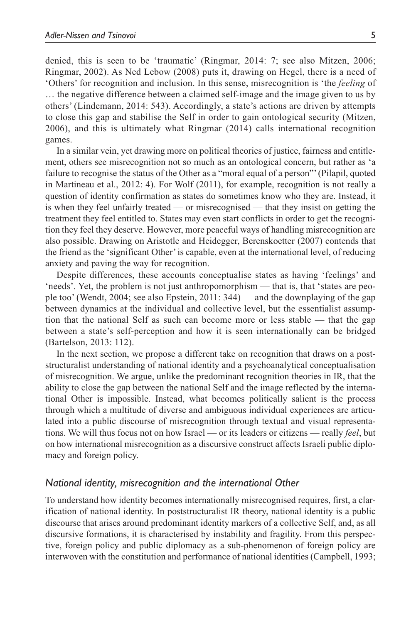denied, this is seen to be 'traumatic' (Ringmar, 2014: 7; see also Mitzen, 2006; Ringmar, 2002). As Ned Lebow (2008) puts it, drawing on Hegel, there is a need of 'Others' for recognition and inclusion. In this sense, misrecognition is 'the *feeling* of … the negative difference between a claimed self-image and the image given to us by others' (Lindemann, 2014: 543). Accordingly, a state's actions are driven by attempts to close this gap and stabilise the Self in order to gain ontological security (Mitzen, 2006), and this is ultimately what Ringmar (2014) calls international recognition games.

In a similar vein, yet drawing more on political theories of justice, fairness and entitlement, others see misrecognition not so much as an ontological concern, but rather as 'a failure to recognise the status of the Other as a "moral equal of a person"' (Pilapil, quoted in Martineau et al., 2012: 4). For Wolf (2011), for example, recognition is not really a question of identity confirmation as states do sometimes know who they are. Instead, it is when they feel unfairly treated — or misrecognised — that they insist on getting the treatment they feel entitled to. States may even start conflicts in order to get the recognition they feel they deserve. However, more peaceful ways of handling misrecognition are also possible. Drawing on Aristotle and Heidegger, Berenskoetter (2007) contends that the friend as the 'significant Other' is capable, even at the international level, of reducing anxiety and paving the way for recognition.

Despite differences, these accounts conceptualise states as having 'feelings' and 'needs'. Yet, the problem is not just anthropomorphism — that is, that 'states are people too' (Wendt, 2004; see also Epstein, 2011: 344) — and the downplaying of the gap between dynamics at the individual and collective level, but the essentialist assumption that the national Self as such can become more or less stable — that the gap between a state's self-perception and how it is seen internationally can be bridged (Bartelson, 2013: 112).

In the next section, we propose a different take on recognition that draws on a poststructuralist understanding of national identity and a psychoanalytical conceptualisation of misrecognition. We argue, unlike the predominant recognition theories in IR, that the ability to close the gap between the national Self and the image reflected by the international Other is impossible. Instead, what becomes politically salient is the process through which a multitude of diverse and ambiguous individual experiences are articulated into a public discourse of misrecognition through textual and visual representations. We will thus focus not on how Israel — or its leaders or citizens — really *feel*, but on how international misrecognition as a discursive construct affects Israeli public diplomacy and foreign policy.

#### *National identity, misrecognition and the international Other*

To understand how identity becomes internationally misrecognised requires, first, a clarification of national identity. In poststructuralist IR theory, national identity is a public discourse that arises around predominant identity markers of a collective Self, and, as all discursive formations, it is characterised by instability and fragility. From this perspective, foreign policy and public diplomacy as a sub-phenomenon of foreign policy are interwoven with the constitution and performance of national identities (Campbell, 1993;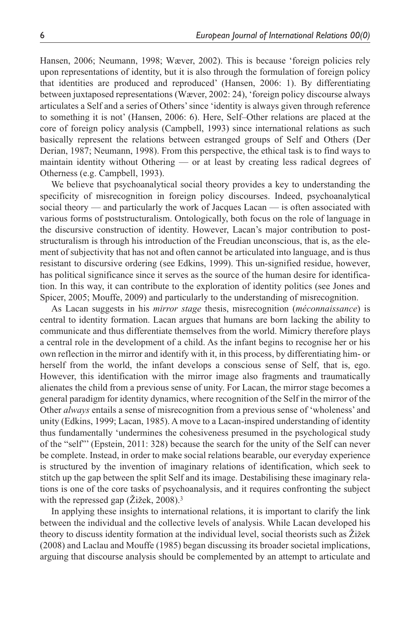Hansen, 2006; Neumann, 1998; Wæver, 2002). This is because 'foreign policies rely upon representations of identity, but it is also through the formulation of foreign policy that identities are produced and reproduced' (Hansen, 2006: 1). By differentiating between juxtaposed representations (Wæver, 2002: 24), 'foreign policy discourse always articulates a Self and a series of Others' since 'identity is always given through reference to something it is not' (Hansen, 2006: 6). Here, Self–Other relations are placed at the core of foreign policy analysis (Campbell, 1993) since international relations as such basically represent the relations between estranged groups of Self and Others (Der Derian, 1987; Neumann, 1998). From this perspective, the ethical task is to find ways to maintain identity without Othering — or at least by creating less radical degrees of Otherness (e.g. Campbell, 1993).

We believe that psychoanalytical social theory provides a key to understanding the specificity of misrecognition in foreign policy discourses. Indeed, psychoanalytical social theory — and particularly the work of Jacques Lacan — is often associated with various forms of poststructuralism. Ontologically, both focus on the role of language in the discursive construction of identity. However, Lacan's major contribution to poststructuralism is through his introduction of the Freudian unconscious, that is, as the element of subjectivity that has not and often cannot be articulated into language, and is thus resistant to discursive ordering (see Edkins, 1999). This un-signified residue, however, has political significance since it serves as the source of the human desire for identification. In this way, it can contribute to the exploration of identity politics (see Jones and Spicer, 2005; Mouffe, 2009) and particularly to the understanding of misrecognition.

As Lacan suggests in his *mirror stage* thesis, misrecognition (*méconnaissance*) is central to identity formation. Lacan argues that humans are born lacking the ability to communicate and thus differentiate themselves from the world. Mimicry therefore plays a central role in the development of a child. As the infant begins to recognise her or his own reflection in the mirror and identify with it, in this process, by differentiating him- or herself from the world, the infant develops a conscious sense of Self, that is, ego. However, this identification with the mirror image also fragments and traumatically alienates the child from a previous sense of unity. For Lacan, the mirror stage becomes a general paradigm for identity dynamics, where recognition of the Self in the mirror of the Other *always* entails a sense of misrecognition from a previous sense of 'wholeness' and unity (Edkins, 1999; Lacan, 1985). A move to a Lacan-inspired understanding of identity thus fundamentally 'undermines the cohesiveness presumed in the psychological study of the "self"' (Epstein, 2011: 328) because the search for the unity of the Self can never be complete. Instead, in order to make social relations bearable, our everyday experience is structured by the invention of imaginary relations of identification, which seek to stitch up the gap between the split Self and its image. Destabilising these imaginary relations is one of the core tasks of psychoanalysis, and it requires confronting the subject with the repressed gap (Žižek, 2008).<sup>3</sup>

In applying these insights to international relations, it is important to clarify the link between the individual and the collective levels of analysis. While Lacan developed his theory to discuss identity formation at the individual level, social theorists such as Žižek (2008) and Laclau and Mouffe (1985) began discussing its broader societal implications, arguing that discourse analysis should be complemented by an attempt to articulate and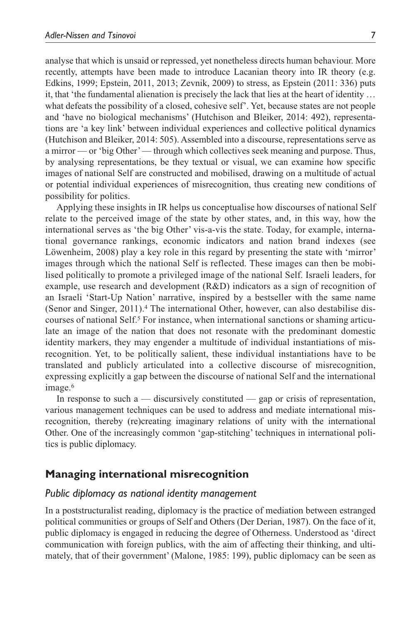analyse that which is unsaid or repressed, yet nonetheless directs human behaviour. More recently, attempts have been made to introduce Lacanian theory into IR theory (e.g. Edkins, 1999; Epstein, 2011, 2013; Zevnik, 2009) to stress, as Epstein (2011: 336) puts it, that 'the fundamental alienation is precisely the lack that lies at the heart of identity … what defeats the possibility of a closed, cohesive self'. Yet, because states are not people and 'have no biological mechanisms' (Hutchison and Bleiker, 2014: 492), representations are 'a key link' between individual experiences and collective political dynamics (Hutchison and Bleiker, 2014: 505). Assembled into a discourse, representations serve as a mirror — or 'big Other' — through which collectives seek meaning and purpose. Thus, by analysing representations, be they textual or visual, we can examine how specific images of national Self are constructed and mobilised, drawing on a multitude of actual or potential individual experiences of misrecognition, thus creating new conditions of possibility for politics.

Applying these insights in IR helps us conceptualise how discourses of national Self relate to the perceived image of the state by other states, and, in this way, how the international serves as 'the big Other' vis-a-vis the state. Today, for example, international governance rankings, economic indicators and nation brand indexes (see Löwenheim, 2008) play a key role in this regard by presenting the state with 'mirror' images through which the national Self is reflected. These images can then be mobilised politically to promote a privileged image of the national Self. Israeli leaders, for example, use research and development (R&D) indicators as a sign of recognition of an Israeli 'Start-Up Nation' narrative, inspired by a bestseller with the same name (Senor and Singer, 2011).4 The international Other, however, can also destabilise discourses of national Self.5 For instance, when international sanctions or shaming articulate an image of the nation that does not resonate with the predominant domestic identity markers, they may engender a multitude of individual instantiations of misrecognition. Yet, to be politically salient, these individual instantiations have to be translated and publicly articulated into a collective discourse of misrecognition, expressing explicitly a gap between the discourse of national Self and the international image.<sup>6</sup>

In response to such a — discursively constituted — gap or crisis of representation, various management techniques can be used to address and mediate international misrecognition, thereby (re)creating imaginary relations of unity with the international Other. One of the increasingly common 'gap-stitching' techniques in international politics is public diplomacy.

# **Managing international misrecognition**

### *Public diplomacy as national identity management*

In a poststructuralist reading, diplomacy is the practice of mediation between estranged political communities or groups of Self and Others (Der Derian, 1987). On the face of it, public diplomacy is engaged in reducing the degree of Otherness. Understood as 'direct communication with foreign publics, with the aim of affecting their thinking, and ultimately, that of their government' (Malone, 1985: 199), public diplomacy can be seen as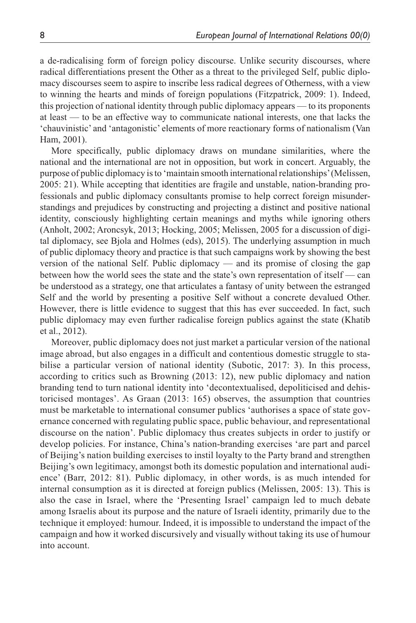a de-radicalising form of foreign policy discourse. Unlike security discourses, where radical differentiations present the Other as a threat to the privileged Self, public diplomacy discourses seem to aspire to inscribe less radical degrees of Otherness, with a view to winning the hearts and minds of foreign populations (Fitzpatrick, 2009: 1). Indeed, this projection of national identity through public diplomacy appears — to its proponents at least — to be an effective way to communicate national interests, one that lacks the 'chauvinistic' and 'antagonistic' elements of more reactionary forms of nationalism (Van Ham, 2001).

More specifically, public diplomacy draws on mundane similarities, where the national and the international are not in opposition, but work in concert. Arguably, the purpose of public diplomacy is to 'maintain smooth international relationships' (Melissen, 2005: 21). While accepting that identities are fragile and unstable, nation-branding professionals and public diplomacy consultants promise to help correct foreign misunderstandings and prejudices by constructing and projecting a distinct and positive national identity, consciously highlighting certain meanings and myths while ignoring others (Anholt, 2002; Aroncsyk, 2013; Hocking, 2005; Melissen, 2005 for a discussion of digital diplomacy, see Bjola and Holmes (eds), 2015). The underlying assumption in much of public diplomacy theory and practice is that such campaigns work by showing the best version of the national Self. Public diplomacy — and its promise of closing the gap between how the world sees the state and the state's own representation of itself — can be understood as a strategy, one that articulates a fantasy of unity between the estranged Self and the world by presenting a positive Self without a concrete devalued Other. However, there is little evidence to suggest that this has ever succeeded. In fact, such public diplomacy may even further radicalise foreign publics against the state (Khatib et al., 2012).

Moreover, public diplomacy does not just market a particular version of the national image abroad, but also engages in a difficult and contentious domestic struggle to stabilise a particular version of national identity (Subotic, 2017: 3). In this process, according to critics such as Browning (2013: 12), new public diplomacy and nation branding tend to turn national identity into 'decontextualised, depoliticised and dehistoricised montages'. As Graan (2013: 165) observes, the assumption that countries must be marketable to international consumer publics 'authorises a space of state governance concerned with regulating public space, public behaviour, and representational discourse on the nation'. Public diplomacy thus creates subjects in order to justify or develop policies. For instance, China's nation-branding exercises 'are part and parcel of Beijing's nation building exercises to instil loyalty to the Party brand and strengthen Beijing's own legitimacy, amongst both its domestic population and international audience' (Barr, 2012: 81). Public diplomacy, in other words, is as much intended for internal consumption as it is directed at foreign publics (Melissen, 2005: 13). This is also the case in Israel, where the 'Presenting Israel' campaign led to much debate among Israelis about its purpose and the nature of Israeli identity, primarily due to the technique it employed: humour. Indeed, it is impossible to understand the impact of the campaign and how it worked discursively and visually without taking its use of humour into account.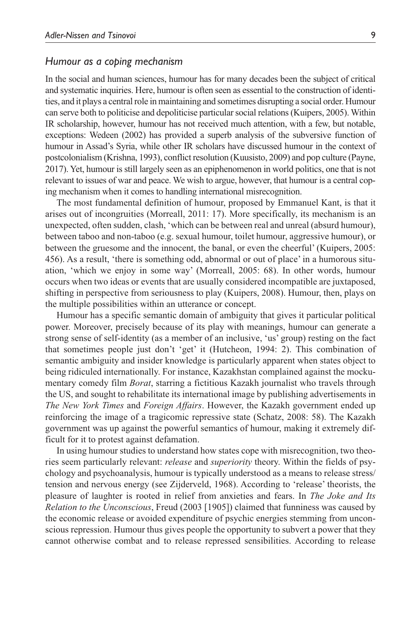### *Humour as a coping mechanism*

In the social and human sciences, humour has for many decades been the subject of critical and systematic inquiries. Here, humour is often seen as essential to the construction of identities, and it plays a central role in maintaining and sometimes disrupting a social order. Humour can serve both to politicise and depoliticise particular social relations (Kuipers, 2005). Within IR scholarship, however, humour has not received much attention, with a few, but notable, exceptions: Wedeen (2002) has provided a superb analysis of the subversive function of humour in Assad's Syria, while other IR scholars have discussed humour in the context of postcolonialism (Krishna, 1993), conflict resolution (Kuusisto, 2009) and pop culture (Payne, 2017). Yet, humour is still largely seen as an epiphenomenon in world politics, one that is not relevant to issues of war and peace. We wish to argue, however, that humour is a central coping mechanism when it comes to handling international misrecognition.

The most fundamental definition of humour, proposed by Emmanuel Kant, is that it arises out of incongruities (Morreall, 2011: 17). More specifically, its mechanism is an unexpected, often sudden, clash, 'which can be between real and unreal (absurd humour), between taboo and non-taboo (e.g. sexual humour, toilet humour, aggressive humour), or between the gruesome and the innocent, the banal, or even the cheerful' (Kuipers, 2005: 456). As a result, 'there is something odd, abnormal or out of place' in a humorous situation, 'which we enjoy in some way' (Morreall, 2005: 68). In other words, humour occurs when two ideas or events that are usually considered incompatible are juxtaposed, shifting in perspective from seriousness to play (Kuipers, 2008). Humour, then, plays on the multiple possibilities within an utterance or concept.

Humour has a specific semantic domain of ambiguity that gives it particular political power. Moreover, precisely because of its play with meanings, humour can generate a strong sense of self-identity (as a member of an inclusive, 'us' group) resting on the fact that sometimes people just don't 'get' it (Hutcheon, 1994: 2). This combination of semantic ambiguity and insider knowledge is particularly apparent when states object to being ridiculed internationally. For instance, Kazakhstan complained against the mockumentary comedy film *Borat*, starring a fictitious Kazakh journalist who travels through the US, and sought to rehabilitate its international image by publishing advertisements in *The New York Times* and *Foreign Affairs*. However, the Kazakh government ended up reinforcing the image of a tragicomic repressive state (Schatz, 2008: 58). The Kazakh government was up against the powerful semantics of humour, making it extremely difficult for it to protest against defamation.

In using humour studies to understand how states cope with misrecognition, two theories seem particularly relevant: *release* and *superiority* theory. Within the fields of psychology and psychoanalysis, humour is typically understood as a means to release stress/ tension and nervous energy (see Zijderveld, 1968). According to 'release' theorists, the pleasure of laughter is rooted in relief from anxieties and fears. In *The Joke and Its Relation to the Unconscious*, Freud (2003 [1905]) claimed that funniness was caused by the economic release or avoided expenditure of psychic energies stemming from unconscious repression. Humour thus gives people the opportunity to subvert a power that they cannot otherwise combat and to release repressed sensibilities. According to release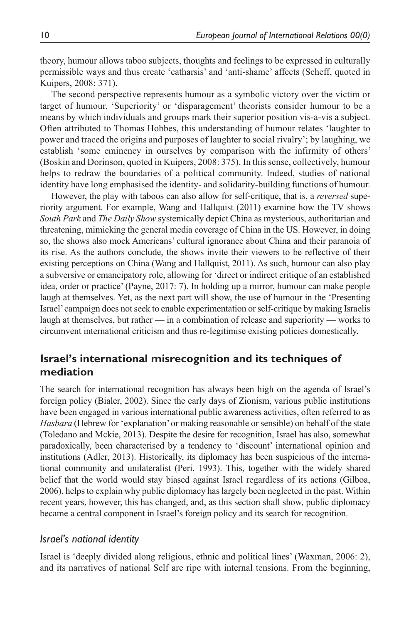theory, humour allows taboo subjects, thoughts and feelings to be expressed in culturally permissible ways and thus create 'catharsis' and 'anti-shame' affects (Scheff, quoted in Kuipers, 2008: 371).

The second perspective represents humour as a symbolic victory over the victim or target of humour. 'Superiority' or 'disparagement' theorists consider humour to be a means by which individuals and groups mark their superior position vis-a-vis a subject. Often attributed to Thomas Hobbes, this understanding of humour relates 'laughter to power and traced the origins and purposes of laughter to social rivalry'; by laughing, we establish 'some eminency in ourselves by comparison with the infirmity of others' (Boskin and Dorinson, quoted in Kuipers, 2008: 375). In this sense, collectively, humour helps to redraw the boundaries of a political community. Indeed, studies of national identity have long emphasised the identity- and solidarity-building functions of humour.

However, the play with taboos can also allow for self-critique, that is, a *reversed* superiority argument. For example, Wang and Hallquist (2011) examine how the TV shows *South Park* and *The Daily Show* systemically depict China as mysterious, authoritarian and threatening, mimicking the general media coverage of China in the US. However, in doing so, the shows also mock Americans' cultural ignorance about China and their paranoia of its rise. As the authors conclude, the shows invite their viewers to be reflective of their existing perceptions on China (Wang and Hallquist, 2011). As such, humour can also play a subversive or emancipatory role, allowing for 'direct or indirect critique of an established idea, order or practice' (Payne, 2017: 7). In holding up a mirror, humour can make people laugh at themselves. Yet, as the next part will show, the use of humour in the 'Presenting Israel' campaign does not seek to enable experimentation or self-critique by making Israelis laugh at themselves, but rather — in a combination of release and superiority — works to circumvent international criticism and thus re-legitimise existing policies domestically.

# **Israel's international misrecognition and its techniques of mediation**

The search for international recognition has always been high on the agenda of Israel's foreign policy (Bialer, 2002). Since the early days of Zionism, various public institutions have been engaged in various international public awareness activities, often referred to as *Hasbara* (Hebrew for 'explanation' or making reasonable or sensible) on behalf of the state (Toledano and Mckie, 2013). Despite the desire for recognition, Israel has also, somewhat paradoxically, been characterised by a tendency to 'discount' international opinion and institutions (Adler, 2013). Historically, its diplomacy has been suspicious of the international community and unilateralist (Peri, 1993). This, together with the widely shared belief that the world would stay biased against Israel regardless of its actions (Gilboa, 2006), helps to explain why public diplomacy has largely been neglected in the past. Within recent years, however, this has changed, and, as this section shall show, public diplomacy became a central component in Israel's foreign policy and its search for recognition.

### *Israel's national identity*

Israel is 'deeply divided along religious, ethnic and political lines' (Waxman, 2006: 2), and its narratives of national Self are ripe with internal tensions. From the beginning,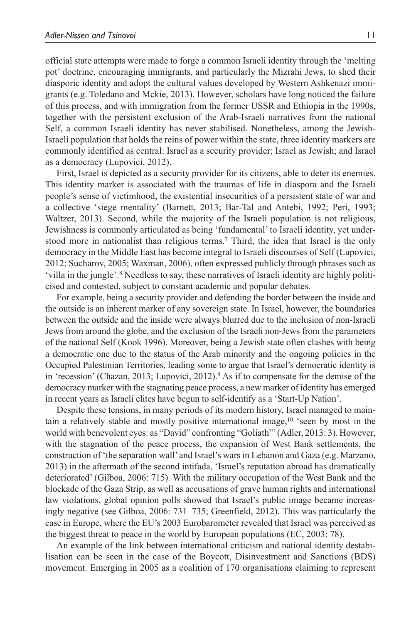official state attempts were made to forge a common Israeli identity through the 'melting pot' doctrine, encouraging immigrants, and particularly the Mizrahi Jews, to shed their diasporic identity and adopt the cultural values developed by Western Ashkenazi immigrants (e.g. Toledano and Mckie, 2013). However, scholars have long noticed the failure of this process, and with immigration from the former USSR and Ethiopia in the 1990s, together with the persistent exclusion of the Arab-Israeli narratives from the national Self, a common Israeli identity has never stabilised. Nonetheless, among the Jewish-Israeli population that holds the reins of power within the state, three identity markers are commonly identified as central: Israel as a security provider; Israel as Jewish; and Israel as a democracy (Lupovici, 2012).

First, Israel is depicted as a security provider for its citizens, able to deter its enemies. This identity marker is associated with the traumas of life in diaspora and the Israeli people's sense of victimhood, the existential insecurities of a persistent state of war and a collective 'siege mentality' (Barnett, 2013; Bar-Tal and Antebi, 1992; Peri, 1993; Waltzer, 2013). Second, while the majority of the Israeli population is not religious, Jewishness is commonly articulated as being 'fundamental' to Israeli identity, yet understood more in nationalist than religious terms.7 Third, the idea that Israel is the only democracy in the Middle East has become integral to Israeli discourses of Self (Lupovici, 2012; Sucharov, 2005; Waxman, 2006), often expressed publicly through phrases such as 'villa in the jungle'.8 Needless to say, these narratives of Israeli identity are highly politicised and contested, subject to constant academic and popular debates.

For example, being a security provider and defending the border between the inside and the outside is an inherent marker of any sovereign state. In Israel, however, the boundaries between the outside and the inside were always blurred due to the inclusion of non-Israeli Jews from around the globe, and the exclusion of the Israeli non-Jews from the parameters of the national Self (Kook 1996). Moreover, being a Jewish state often clashes with being a democratic one due to the status of the Arab minority and the ongoing policies in the Occupied Palestinian Territories, leading some to argue that Israel's democratic identity is in 'recession' (Chazan, 2013; Lupovici, 2012).<sup>9</sup> As if to compensate for the demise of the democracy marker with the stagnating peace process, a new marker of identity has emerged in recent years as Israeli elites have begun to self-identify as a 'Start-Up Nation'.

Despite these tensions, in many periods of its modern history, Israel managed to maintain a relatively stable and mostly positive international image,10 'seen by most in the world with benevolent eyes: as "David" confronting "Goliath"' (Adler, 2013: 3). However, with the stagnation of the peace process, the expansion of West Bank settlements, the construction of 'the separation wall' and Israel's wars in Lebanon and Gaza (e.g. Marzano, 2013) in the aftermath of the second intifada, 'Israel's reputation abroad has dramatically deteriorated' (Gilboa, 2006: 715). With the military occupation of the West Bank and the blockade of the Gaza Strip, as well as accusations of grave human rights and international law violations, global opinion polls showed that Israel's public image became increasingly negative (see Gilboa, 2006: 731–735; Greenfield, 2012). This was particularly the case in Europe, where the EU's 2003 Eurobarometer revealed that Israel was perceived as the biggest threat to peace in the world by European populations (EC, 2003: 78).

An example of the link between international criticism and national identity destabilisation can be seen in the case of the Boycott, Disinvestment and Sanctions (BDS) movement. Emerging in 2005 as a coalition of 170 organisations claiming to represent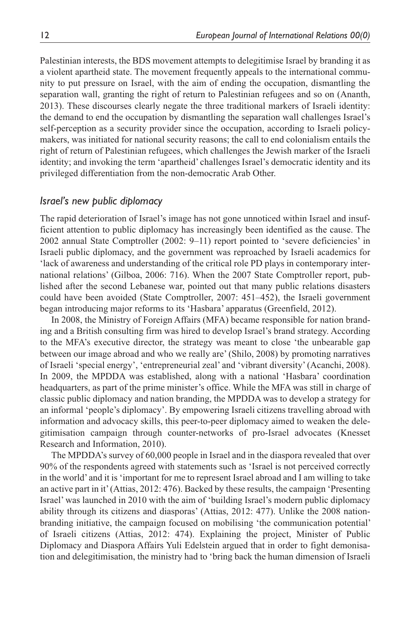Palestinian interests, the BDS movement attempts to delegitimise Israel by branding it as a violent apartheid state. The movement frequently appeals to the international community to put pressure on Israel, with the aim of ending the occupation, dismantling the separation wall, granting the right of return to Palestinian refugees and so on (Ananth, 2013). These discourses clearly negate the three traditional markers of Israeli identity: the demand to end the occupation by dismantling the separation wall challenges Israel's self-perception as a security provider since the occupation, according to Israeli policymakers, was initiated for national security reasons; the call to end colonialism entails the right of return of Palestinian refugees, which challenges the Jewish marker of the Israeli identity; and invoking the term 'apartheid' challenges Israel's democratic identity and its privileged differentiation from the non-democratic Arab Other.

### *Israel's new public diplomacy*

The rapid deterioration of Israel's image has not gone unnoticed within Israel and insufficient attention to public diplomacy has increasingly been identified as the cause. The 2002 annual State Comptroller (2002: 9–11) report pointed to 'severe deficiencies' in Israeli public diplomacy, and the government was reproached by Israeli academics for 'lack of awareness and understanding of the critical role PD plays in contemporary international relations' (Gilboa, 2006: 716). When the 2007 State Comptroller report, published after the second Lebanese war, pointed out that many public relations disasters could have been avoided (State Comptroller, 2007: 451–452), the Israeli government began introducing major reforms to its 'Hasbara' apparatus (Greenfield, 2012).

In 2008, the Ministry of Foreign Affairs (MFA) became responsible for nation branding and a British consulting firm was hired to develop Israel's brand strategy. According to the MFA's executive director, the strategy was meant to close 'the unbearable gap between our image abroad and who we really are' (Shilo, 2008) by promoting narratives of Israeli 'special energy', 'entrepreneurial zeal' and 'vibrant diversity' (Acanchi, 2008). In 2009, the MPDDA was established, along with a national 'Hasbara' coordination headquarters, as part of the prime minister's office. While the MFA was still in charge of classic public diplomacy and nation branding, the MPDDA was to develop a strategy for an informal 'people's diplomacy'. By empowering Israeli citizens travelling abroad with information and advocacy skills, this peer-to-peer diplomacy aimed to weaken the delegitimisation campaign through counter-networks of pro-Israel advocates (Knesset Research and Information, 2010).

The MPDDA's survey of 60,000 people in Israel and in the diaspora revealed that over 90% of the respondents agreed with statements such as 'Israel is not perceived correctly in the world' and it is 'important for me to represent Israel abroad and I am willing to take an active part in it' (Attias, 2012: 476). Backed by these results, the campaign 'Presenting Israel' was launched in 2010 with the aim of 'building Israel's modern public diplomacy ability through its citizens and diasporas' (Attias, 2012: 477). Unlike the 2008 nationbranding initiative, the campaign focused on mobilising 'the communication potential' of Israeli citizens (Attias, 2012: 474). Explaining the project, Minister of Public Diplomacy and Diaspora Affairs Yuli Edelstein argued that in order to fight demonisation and delegitimisation, the ministry had to 'bring back the human dimension of Israeli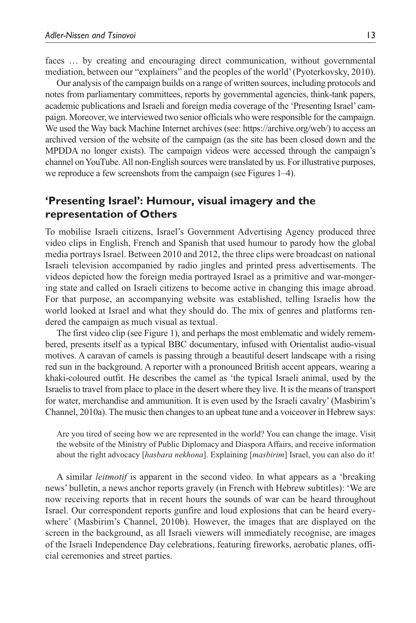faces … by creating and encouraging direct communication, without governmental mediation, between our "explainers" and the peoples of the world' (Pyoterkovsky, 2010).

Our analysis of the campaign builds on a range of written sources, including protocols and notes from parliamentary committees, reports by governmental agencies, think-tank papers, academic publications and Israeli and foreign media coverage of the 'Presenting Israel' campaign. Moreover, we interviewed two senior officials who were responsible for the campaign. We used the Way back Machine Internet archives (see: [https://archive.org/web/\)](https://archive.org/web/) to access an archived version of the website of the campaign (as the site has been closed down and the MPDDA no longer exists). The campaign videos were accessed through the campaign's channel on YouTube. All non-English sources were translated by us. For illustrative purposes, we reproduce a few screenshots from the campaign (see Figures 1–4).

# **'Presenting Israel': Humour, visual imagery and the representation of Others**

To mobilise Israeli citizens, Israel's Government Advertising Agency produced three video clips in English, French and Spanish that used humour to parody how the global media portrays Israel. Between 2010 and 2012, the three clips were broadcast on national Israeli television accompanied by radio jingles and printed press advertisements. The videos depicted how the foreign media portrayed Israel as a primitive and war-mongering state and called on Israeli citizens to become active in changing this image abroad. For that purpose, an accompanying website was established, telling Israelis how the world looked at Israel and what they should do. The mix of genres and platforms rendered the campaign as much visual as textual.

The first video clip (see Figure 1), and perhaps the most emblematic and widely remembered, presents itself as a typical BBC documentary, infused with Orientalist audio-visual motives. A caravan of camels is passing through a beautiful desert landscape with a rising red sun in the background. A reporter with a pronounced British accent appears, wearing a khaki-coloured outfit. He describes the camel as 'the typical Israeli animal, used by the Israelis to travel from place to place in the desert where they live. It is the means of transport for water, merchandise and ammunition. It is even used by the Israeli cavalry' (Masbirim's Channel, 2010a). The music then changes to an upbeat tune and a voiceover in Hebrew says:

Are you tired of seeing how we are represented in the world? You can change the image. Visit the website of the Ministry of Public Diplomacy and Diaspora Affairs, and receive information about the right advocacy [*hasbara nekhona*]. Explaining [*masbirim*] Israel, you can also do it!

A similar *leitmotif* is apparent in the second video. In what appears as a 'breaking news' bulletin, a news anchor reports gravely (in French with Hebrew subtitles): 'We are now receiving reports that in recent hours the sounds of war can be heard throughout Israel. Our correspondent reports gunfire and loud explosions that can be heard everywhere' (Masbirim's Channel, 2010b). However, the images that are displayed on the screen in the background, as all Israeli viewers will immediately recognise, are images of the Israeli Independence Day celebrations, featuring fireworks, aerobatic planes, official ceremonies and street parties.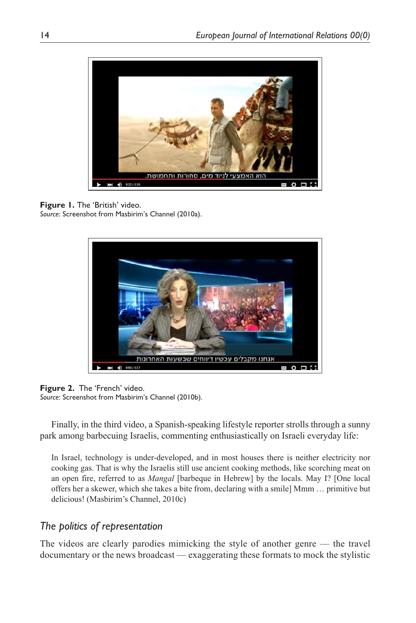

# **Figure 1.** The 'British' video.

*Source*: Screenshot from Masbirim's Channel (2010a).



### **Figure 2.** The 'French' video.

*Source*: Screenshot from Masbirim's Channel (2010b).

Finally, in the third video, a Spanish-speaking lifestyle reporter strolls through a sunny park among barbecuing Israelis, commenting enthusiastically on Israeli everyday life:

In Israel, technology is under-developed, and in most houses there is neither electricity nor cooking gas. That is why the Israelis still use ancient cooking methods, like scorching meat on an open fire, referred to as *Mangal* [barbeque in Hebrew] by the locals. May I? [One local offers her a skewer, which she takes a bite from, declaring with a smile] Mmm … primitive but delicious! (Masbirim's Channel, 2010c)

# *The politics of representation*

The videos are clearly parodies mimicking the style of another genre — the travel documentary or the news broadcast — exaggerating these formats to mock the stylistic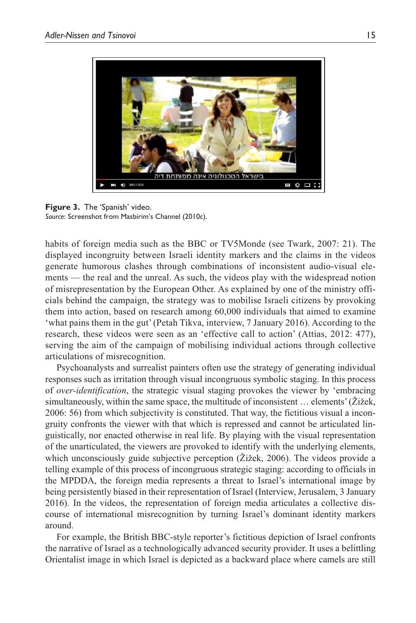

**Figure 3.** The 'Spanish' video. *Source*: Screenshot from Masbirim's Channel (2010c).

habits of foreign media such as the BBC or TV5Monde (see Twark, 2007: 21). The displayed incongruity between Israeli identity markers and the claims in the videos generate humorous clashes through combinations of inconsistent audio-visual elements — the real and the unreal. As such, the videos play with the widespread notion of misrepresentation by the European Other. As explained by one of the ministry officials behind the campaign, the strategy was to mobilise Israeli citizens by provoking them into action, based on research among 60,000 individuals that aimed to examine 'what pains them in the gut' (Petah Tikva, interview, 7 January 2016). According to the research, these videos were seen as an 'effective call to action' (Attias, 2012: 477), serving the aim of the campaign of mobilising individual actions through collective articulations of misrecognition.

Psychoanalysts and surrealist painters often use the strategy of generating individual responses such as irritation through visual incongruous symbolic staging. In this process of *over-identification*, the strategic visual staging provokes the viewer by 'embracing simultaneously, within the same space, the multitude of inconsistent … elements' (Žižek, 2006: 56) from which subjectivity is constituted. That way, the fictitious visual a incongruity confronts the viewer with that which is repressed and cannot be articulated linguistically, nor enacted otherwise in real life. By playing with the visual representation of the unarticulated, the viewers are provoked to identify with the underlying elements, which unconsciously guide subjective perception (Žižek, 2006). The videos provide a telling example of this process of incongruous strategic staging: according to officials in the MPDDA, the foreign media represents a threat to Israel's international image by being persistently biased in their representation of Israel (Interview, Jerusalem, 3 January 2016). In the videos, the representation of foreign media articulates a collective discourse of international misrecognition by turning Israel's dominant identity markers around.

For example, the British BBC-style reporter's fictitious depiction of Israel confronts the narrative of Israel as a technologically advanced security provider. It uses a belittling Orientalist image in which Israel is depicted as a backward place where camels are still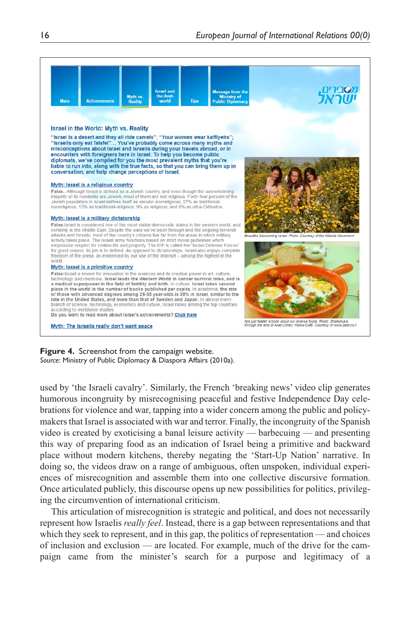

**Figure 4.** Screenshot from the campaign website. *Source*: Ministry of Public Diplomacy & Diaspora Affairs (2010a).

used by 'the Israeli cavalry'. Similarly, the French 'breaking news' video clip generates humorous incongruity by misrecognising peaceful and festive Independence Day celebrations for violence and war, tapping into a wider concern among the public and policymakers that Israel is associated with war and terror. Finally, the incongruity of the Spanish video is created by exoticising a banal leisure activity — barbecuing — and presenting this way of preparing food as an indication of Israel being a primitive and backward place without modern kitchens, thereby negating the 'Start-Up Nation' narrative. In doing so, the videos draw on a range of ambiguous, often unspoken, individual experiences of misrecognition and assemble them into one collective discursive formation. Once articulated publicly, this discourse opens up new possibilities for politics, privileging the circumvention of international criticism.

This articulation of misrecognition is strategic and political, and does not necessarily represent how Israelis *really feel*. Instead, there is a gap between representations and that which they seek to represent, and in this gap, the politics of representation — and choices of inclusion and exclusion — are located. For example, much of the drive for the campaign came from the minister's search for a purpose and legitimacy of a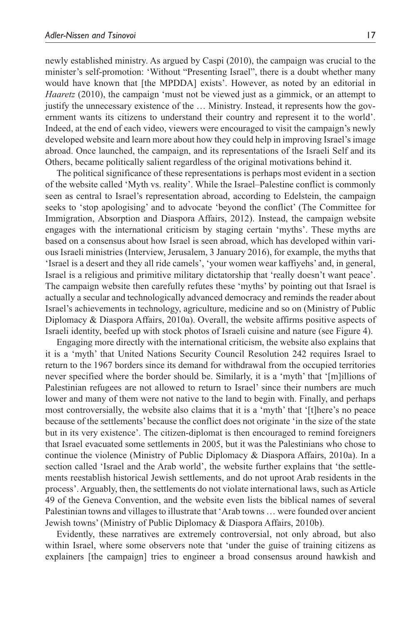newly established ministry. As argued by Caspi (2010), the campaign was crucial to the minister's self-promotion: 'Without "Presenting Israel", there is a doubt whether many would have known that [the MPDDA] exists'. However, as noted by an editorial in *Haaretz* (2010), the campaign 'must not be viewed just as a gimmick, or an attempt to justify the unnecessary existence of the … Ministry. Instead, it represents how the government wants its citizens to understand their country and represent it to the world'. Indeed, at the end of each video, viewers were encouraged to visit the campaign's newly developed website and learn more about how they could help in improving Israel's image abroad. Once launched, the campaign, and its representations of the Israeli Self and its Others, became politically salient regardless of the original motivations behind it.

The political significance of these representations is perhaps most evident in a section of the website called 'Myth vs. reality'. While the Israel–Palestine conflict is commonly seen as central to Israel's representation abroad, according to Edelstein, the campaign seeks to 'stop apologising' and to advocate 'beyond the conflict' (The Committee for Immigration, Absorption and Diaspora Affairs, 2012). Instead, the campaign website engages with the international criticism by staging certain 'myths'. These myths are based on a consensus about how Israel is seen abroad, which has developed within various Israeli ministries (Interview, Jerusalem, 3 January 2016), for example, the myths that 'Israel is a desert and they all ride camels', 'your women wear kaffiyehs' and, in general, Israel is a religious and primitive military dictatorship that 'really doesn't want peace'. The campaign website then carefully refutes these 'myths' by pointing out that Israel is actually a secular and technologically advanced democracy and reminds the reader about Israel's achievements in technology, agriculture, medicine and so on (Ministry of Public Diplomacy & Diaspora Affairs, 2010a). Overall, the website affirms positive aspects of Israeli identity, beefed up with stock photos of Israeli cuisine and nature (see Figure 4).

Engaging more directly with the international criticism, the website also explains that it is a 'myth' that United Nations Security Council Resolution 242 requires Israel to return to the 1967 borders since its demand for withdrawal from the occupied territories never specified where the border should be. Similarly, it is a 'myth' that '[m]illions of Palestinian refugees are not allowed to return to Israel' since their numbers are much lower and many of them were not native to the land to begin with. Finally, and perhaps most controversially, the website also claims that it is a 'myth' that '[t]here's no peace because of the settlements' because the conflict does not originate 'in the size of the state but in its very existence'. The citizen-diplomat is then encouraged to remind foreigners that Israel evacuated some settlements in 2005, but it was the Palestinians who chose to continue the violence (Ministry of Public Diplomacy & Diaspora Affairs, 2010a). In a section called 'Israel and the Arab world', the website further explains that 'the settlements reestablish historical Jewish settlements, and do not uproot Arab residents in the process'. Arguably, then, the settlements do not violate international laws, such as Article 49 of the Geneva Convention, and the website even lists the biblical names of several Palestinian towns and villages to illustrate that 'Arab towns … were founded over ancient Jewish towns' (Ministry of Public Diplomacy & Diaspora Affairs, 2010b).

Evidently, these narratives are extremely controversial, not only abroad, but also within Israel, where some observers note that 'under the guise of training citizens as explainers [the campaign] tries to engineer a broad consensus around hawkish and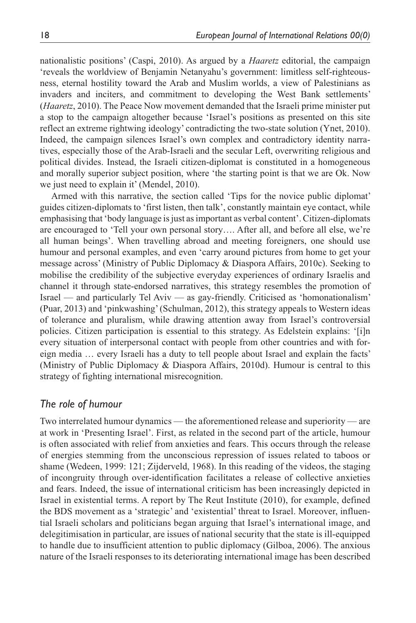nationalistic positions' (Caspi, 2010). As argued by a *Haaretz* editorial, the campaign 'reveals the worldview of Benjamin Netanyahu's government: limitless self-righteousness, eternal hostility toward the Arab and Muslim worlds, a view of Palestinians as invaders and inciters, and commitment to developing the West Bank settlements' (*Haaretz*, 2010). The Peace Now movement demanded that the Israeli prime minister put a stop to the campaign altogether because 'Israel's positions as presented on this site reflect an extreme rightwing ideology' contradicting the two-state solution (Ynet, 2010). Indeed, the campaign silences Israel's own complex and contradictory identity narratives, especially those of the Arab-Israeli and the secular Left, overwriting religious and political divides. Instead, the Israeli citizen-diplomat is constituted in a homogeneous and morally superior subject position, where 'the starting point is that we are Ok. Now we just need to explain it' (Mendel, 2010).

Armed with this narrative, the section called 'Tips for the novice public diplomat' guides citizen-diplomats to 'first listen, then talk', constantly maintain eye contact, while emphasising that 'body language is just as important as verbal content'. Citizen-diplomats are encouraged to 'Tell your own personal story…. After all, and before all else, we're all human beings'. When travelling abroad and meeting foreigners, one should use humour and personal examples, and even 'carry around pictures from home to get your message across' (Ministry of Public Diplomacy & Diaspora Affairs, 2010c). Seeking to mobilise the credibility of the subjective everyday experiences of ordinary Israelis and channel it through state-endorsed narratives, this strategy resembles the promotion of Israel — and particularly Tel Aviv — as gay-friendly. Criticised as 'homonationalism' (Puar, 2013) and 'pinkwashing' (Schulman, 2012), this strategy appeals to Western ideas of tolerance and pluralism, while drawing attention away from Israel's controversial policies. Citizen participation is essential to this strategy. As Edelstein explains: '[i]n every situation of interpersonal contact with people from other countries and with foreign media … every Israeli has a duty to tell people about Israel and explain the facts' (Ministry of Public Diplomacy & Diaspora Affairs, 2010d). Humour is central to this strategy of fighting international misrecognition.

### *The role of humour*

Two interrelated humour dynamics — the aforementioned release and superiority — are at work in 'Presenting Israel'. First, as related in the second part of the article, humour is often associated with relief from anxieties and fears. This occurs through the release of energies stemming from the unconscious repression of issues related to taboos or shame (Wedeen, 1999: 121; Zijderveld, 1968). In this reading of the videos, the staging of incongruity through over-identification facilitates a release of collective anxieties and fears. Indeed, the issue of international criticism has been increasingly depicted in Israel in existential terms. A report by The Reut Institute (2010), for example, defined the BDS movement as a 'strategic' and 'existential' threat to Israel. Moreover, influential Israeli scholars and politicians began arguing that Israel's international image, and delegitimisation in particular, are issues of national security that the state is ill-equipped to handle due to insufficient attention to public diplomacy (Gilboa, 2006). The anxious nature of the Israeli responses to its deteriorating international image has been described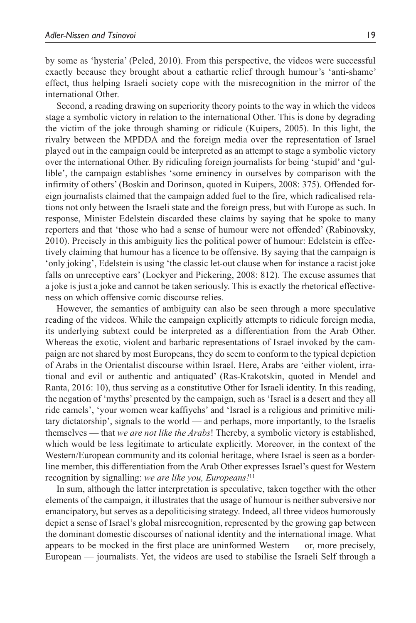by some as 'hysteria' (Peled, 2010). From this perspective, the videos were successful exactly because they brought about a cathartic relief through humour's 'anti-shame' effect, thus helping Israeli society cope with the misrecognition in the mirror of the international Other.

Second, a reading drawing on superiority theory points to the way in which the videos stage a symbolic victory in relation to the international Other. This is done by degrading the victim of the joke through shaming or ridicule (Kuipers, 2005). In this light, the rivalry between the MPDDA and the foreign media over the representation of Israel played out in the campaign could be interpreted as an attempt to stage a symbolic victory over the international Other. By ridiculing foreign journalists for being 'stupid' and 'gullible', the campaign establishes 'some eminency in ourselves by comparison with the infirmity of others' (Boskin and Dorinson, quoted in Kuipers, 2008: 375). Offended foreign journalists claimed that the campaign added fuel to the fire, which radicalised relations not only between the Israeli state and the foreign press, but with Europe as such. In response, Minister Edelstein discarded these claims by saying that he spoke to many reporters and that 'those who had a sense of humour were not offended' (Rabinovsky, 2010). Precisely in this ambiguity lies the political power of humour: Edelstein is effectively claiming that humour has a licence to be offensive. By saying that the campaign is 'only joking', Edelstein is using 'the classic let-out clause when for instance a racist joke falls on unreceptive ears' (Lockyer and Pickering, 2008: 812). The excuse assumes that a joke is just a joke and cannot be taken seriously. This is exactly the rhetorical effectiveness on which offensive comic discourse relies.

However, the semantics of ambiguity can also be seen through a more speculative reading of the videos. While the campaign explicitly attempts to ridicule foreign media, its underlying subtext could be interpreted as a differentiation from the Arab Other. Whereas the exotic, violent and barbaric representations of Israel invoked by the campaign are not shared by most Europeans, they do seem to conform to the typical depiction of Arabs in the Orientalist discourse within Israel. Here, Arabs are 'either violent, irrational and evil or authentic and antiquated' (Ras-Krakotskin, quoted in Mendel and Ranta, 2016: 10), thus serving as a constitutive Other for Israeli identity. In this reading, the negation of 'myths' presented by the campaign, such as 'Israel is a desert and they all ride camels', 'your women wear kaffiyehs' and 'Israel is a religious and primitive military dictatorship', signals to the world — and perhaps, more importantly, to the Israelis themselves — that *we are not like the Arabs*! Thereby, a symbolic victory is established, which would be less legitimate to articulate explicitly. Moreover, in the context of the Western/European community and its colonial heritage, where Israel is seen as a borderline member, this differentiation from the Arab Other expresses Israel's quest for Western recognition by signalling: *we are like you, Europeans!*<sup>11</sup>

In sum, although the latter interpretation is speculative, taken together with the other elements of the campaign, it illustrates that the usage of humour is neither subversive nor emancipatory, but serves as a depoliticising strategy. Indeed, all three videos humorously depict a sense of Israel's global misrecognition, represented by the growing gap between the dominant domestic discourses of national identity and the international image. What appears to be mocked in the first place are uninformed Western — or, more precisely, European — journalists. Yet, the videos are used to stabilise the Israeli Self through a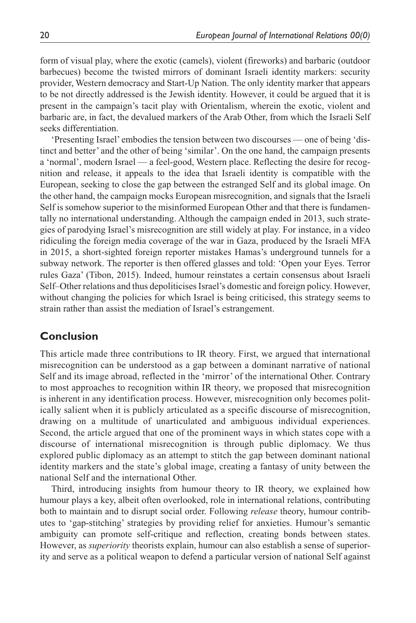form of visual play, where the exotic (camels), violent (fireworks) and barbaric (outdoor barbecues) become the twisted mirrors of dominant Israeli identity markers: security provider, Western democracy and Start-Up Nation. The only identity marker that appears to be not directly addressed is the Jewish identity. However, it could be argued that it is present in the campaign's tacit play with Orientalism, wherein the exotic, violent and barbaric are, in fact, the devalued markers of the Arab Other, from which the Israeli Self seeks differentiation.

'Presenting Israel' embodies the tension between two discourses — one of being 'distinct and better' and the other of being 'similar'. On the one hand, the campaign presents a 'normal', modern Israel — a feel-good, Western place. Reflecting the desire for recognition and release, it appeals to the idea that Israeli identity is compatible with the European, seeking to close the gap between the estranged Self and its global image. On the other hand, the campaign mocks European misrecognition, and signals that the Israeli Self is somehow superior to the misinformed European Other and that there is fundamentally no international understanding. Although the campaign ended in 2013, such strategies of parodying Israel's misrecognition are still widely at play. For instance, in a video ridiculing the foreign media coverage of the war in Gaza, produced by the Israeli MFA in 2015, a short-sighted foreign reporter mistakes Hamas's underground tunnels for a subway network. The reporter is then offered glasses and told: 'Open your Eyes. Terror rules Gaza' (Tibon, 2015). Indeed, humour reinstates a certain consensus about Israeli Self–Other relations and thus depoliticises Israel's domestic and foreign policy. However, without changing the policies for which Israel is being criticised, this strategy seems to strain rather than assist the mediation of Israel's estrangement.

# **Conclusion**

This article made three contributions to IR theory. First, we argued that international misrecognition can be understood as a gap between a dominant narrative of national Self and its image abroad, reflected in the 'mirror' of the international Other. Contrary to most approaches to recognition within IR theory, we proposed that misrecognition is inherent in any identification process. However, misrecognition only becomes politically salient when it is publicly articulated as a specific discourse of misrecognition, drawing on a multitude of unarticulated and ambiguous individual experiences. Second, the article argued that one of the prominent ways in which states cope with a discourse of international misrecognition is through public diplomacy. We thus explored public diplomacy as an attempt to stitch the gap between dominant national identity markers and the state's global image, creating a fantasy of unity between the national Self and the international Other.

Third, introducing insights from humour theory to IR theory, we explained how humour plays a key, albeit often overlooked, role in international relations, contributing both to maintain and to disrupt social order. Following *release* theory, humour contributes to 'gap-stitching' strategies by providing relief for anxieties. Humour's semantic ambiguity can promote self-critique and reflection, creating bonds between states. However, as *superiority* theorists explain, humour can also establish a sense of superiority and serve as a political weapon to defend a particular version of national Self against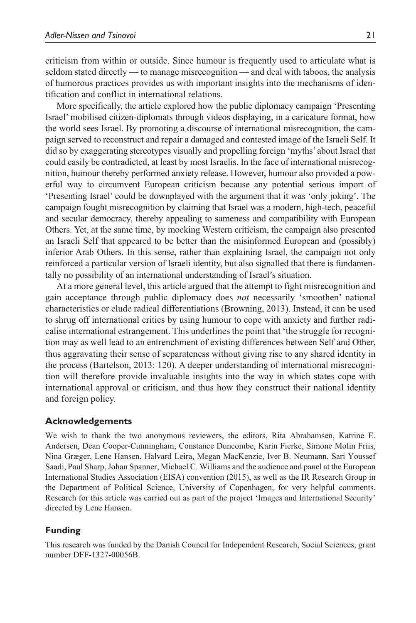criticism from within or outside. Since humour is frequently used to articulate what is seldom stated directly — to manage misrecognition — and deal with taboos, the analysis of humorous practices provides us with important insights into the mechanisms of identification and conflict in international relations.

More specifically, the article explored how the public diplomacy campaign 'Presenting Israel' mobilised citizen-diplomats through videos displaying, in a caricature format, how the world sees Israel. By promoting a discourse of international misrecognition, the campaign served to reconstruct and repair a damaged and contested image of the Israeli Self. It did so by exaggerating stereotypes visually and propelling foreign 'myths' about Israel that could easily be contradicted, at least by most Israelis. In the face of international misrecognition, humour thereby performed anxiety release. However, humour also provided a powerful way to circumvent European criticism because any potential serious import of 'Presenting Israel' could be downplayed with the argument that it was 'only joking'. The campaign fought misrecognition by claiming that Israel was a modern, high-tech, peaceful and secular democracy, thereby appealing to sameness and compatibility with European Others. Yet, at the same time, by mocking Western criticism, the campaign also presented an Israeli Self that appeared to be better than the misinformed European and (possibly) inferior Arab Others. In this sense, rather than explaining Israel, the campaign not only reinforced a particular version of Israeli identity, but also signalled that there is fundamentally no possibility of an international understanding of Israel's situation.

At a more general level, this article argued that the attempt to fight misrecognition and gain acceptance through public diplomacy does *not* necessarily 'smoothen' national characteristics or elude radical differentiations (Browning, 2013). Instead, it can be used to shrug off international critics by using humour to cope with anxiety and further radicalise international estrangement. This underlines the point that 'the struggle for recognition may as well lead to an entrenchment of existing differences between Self and Other, thus aggravating their sense of separateness without giving rise to any shared identity in the process (Bartelson, 2013: 120). A deeper understanding of international misrecognition will therefore provide invaluable insights into the way in which states cope with international approval or criticism, and thus how they construct their national identity and foreign policy.

### **Acknowledgements**

We wish to thank the two anonymous reviewers, the editors, Rita Abrahamsen, Katrine E. Andersen, Dean Cooper-Cunningham, Constance Duncombe, Karin Fierke, Simone Molin Friis, Nina Græger, Lene Hansen, Halvard Leira, Megan MacKenzie, Iver B. Neumann, Sari Youssef Saadi, Paul Sharp, Johan Spanner, Michael C. Williams and the audience and panel at the European International Studies Association (EISA) convention (2015), as well as the IR Research Group in the Department of Political Science, University of Copenhagen, for very helpful comments. Research for this article was carried out as part of the project 'Images and International Security' directed by Lene Hansen.

### **Funding**

This research was funded by the Danish Council for Independent Research, Social Sciences, grant number DFF-1327-00056B.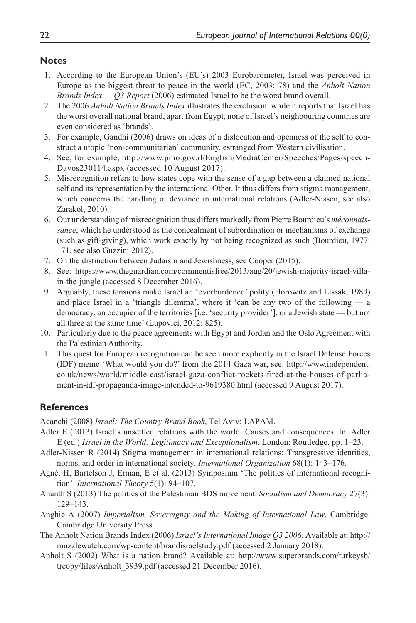### **Notes**

- 1. According to the European Union's (EU's) 2003 Eurobarometer, Israel was perceived in Europe as the biggest threat to peace in the world (EC, 2003: 78) and the *Anholt Nation Brands Index — Q3 Report* (2006) estimated Israel to be the worst brand overall.
- 2. The 2006 *Anholt Nation Brands Index* illustrates the exclusion: while it reports that Israel has the worst overall national brand, apart from Egypt, none of Israel's neighbouring countries are even considered as 'brands'.
- 3. For example, Gandhi (2006) draws on ideas of a dislocation and openness of the self to construct a utopic 'non-communitarian' community, estranged from Western civilisation.
- 4. See, for example, [http://www.pmo.gov.il/English/MediaCenter/Speeches/Pages/speech-](http://www.pmo.gov.il/English/MediaCenter/Speeches/Pages/speechDavos230114.aspx)[Davos230114.aspx](http://www.pmo.gov.il/English/MediaCenter/Speeches/Pages/speechDavos230114.aspx) (accessed 10 August 2017).
- 5. Misrecognition refers to how states cope with the sense of a gap between a claimed national self and its representation by the international Other. It thus differs from stigma management, which concerns the handling of deviance in international relations (Adler-Nissen, see also Zarakol, 2010).
- 6. Our understanding of misrecognition thus differs markedly from Pierre Bourdieu's *méconnaissance*, which he understood as the concealment of subordination or mechanisms of exchange (such as gift-giving), which work exactly by not being recognized as such (Bourdieu, 1977: 171, see also Guzzini 2012).
- 7. On the distinction between Judaism and Jewishness, see Cooper (2015).
- 8. See: [https://www.theguardian.com/commentisfree/2013/aug/20/jewish-majority-israel-villa](https://www.theguardian.com/commentisfree/2013/aug/20/jewish-majority-israel-villa-in-the-jungle)[in-the-jungle](https://www.theguardian.com/commentisfree/2013/aug/20/jewish-majority-israel-villa-in-the-jungle) (accessed 8 December 2016).
- 9. Arguably, these tensions make Israel an 'overburdened' polity (Horowitz and Lissak, 1989) and place Israel in a 'triangle dilemma', where it 'can be any two of the following — a democracy, an occupier of the territories [i.e. 'security provider'], or a Jewish state — but not all three at the same time' (Lupovici, 2012: 825).
- 10. Particularly due to the peace agreements with Egypt and Jordan and the Oslo Agreement with the Palestinian Authority.
- 11. This quest for European recognition can be seen more explicitly in the Israel Defense Forces (IDF) meme 'What would you do?' from the 2014 Gaza war, see: [http://www.independent.](http://www.independent.co.uk/news/world/middle-east/israel-gaza-conflict-rockets-fired-at-the-houses-of-parliament-in-idf-propaganda-image-intended-to-9619380.html) [co.uk/news/world/middle-east/israel-gaza-conflict-rockets-fired-at-the-houses-of-parlia](http://www.independent.co.uk/news/world/middle-east/israel-gaza-conflict-rockets-fired-at-the-houses-of-parliament-in-idf-propaganda-image-intended-to-9619380.html)[ment-in-idf-propaganda-image-intended-to-9619380.html](http://www.independent.co.uk/news/world/middle-east/israel-gaza-conflict-rockets-fired-at-the-houses-of-parliament-in-idf-propaganda-image-intended-to-9619380.html) (accessed 9 August 2017).

### **References**

Acanchi (2008) *Israel: The Country Brand Book*, Tel Aviv: LAPAM.

- Adler E (2013) Israel's unsettled relations with the world: Causes and consequences. In: Adler E (ed.) *Israel in the World: Legitimacy and Exceptionalism*. London: Routledge, pp. 1–23.
- Adler-Nissen R (2014) Stigma management in international relations: Transgressive identities, norms, and order in international society. *International Organization* 68(1): 143–176.
- Agné, H, Bartelson J, Erman, E et al. (2013) Symposium 'The politics of international recognition'. *International Theory* 5(1): 94–107.
- Ananth S (2013) The politics of the Palestinian BDS movement. *Socialism and Democracy* 27(3): 129–143.
- Anghie A (2007) *Imperialism, Sovereignty and the Making of International Law*. Cambridge: Cambridge University Press.
- The Anholt Nation Brands Index (2006) *Israel's International Image Q3 2006*. Available at: [http://](http://muzzlewatch.com/wp-content/brandisraelstudy.pdf) [muzzlewatch.com/wp-content/brandisraelstudy.pdf](http://muzzlewatch.com/wp-content/brandisraelstudy.pdf) (accessed 2 January 2018).
- Anholt S (2002) What is a nation brand? Available at: [http://www.superbrands.com/turkeysb/](http://www.superbrands.com/turkeysb/trcopy/files/Anholt_3939.pdf) [trcopy/files/Anholt\\_3939.pdf](http://www.superbrands.com/turkeysb/trcopy/files/Anholt_3939.pdf) (accessed 21 December 2016).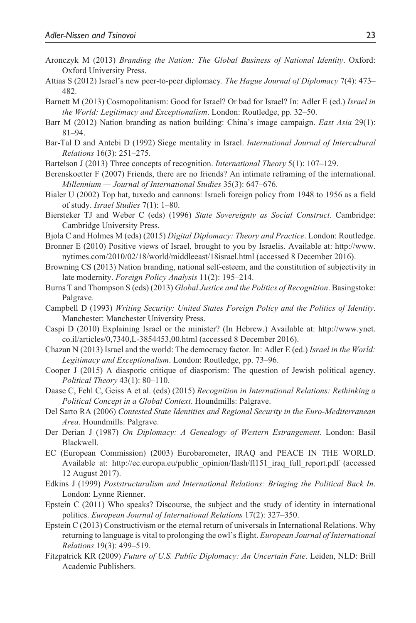- Aronczyk M (2013) *Branding the Nation: The Global Business of National Identity*. Oxford: Oxford University Press.
- Attias S (2012) Israel's new peer-to-peer diplomacy. *The Hague Journal of Diplomacy* 7(4): 473– 482.
- Barnett M (2013) Cosmopolitanism: Good for Israel? Or bad for Israel? In: Adler E (ed.) *Israel in the World: Legitimacy and Exceptionalism*. London: Routledge, pp. 32–50.
- Barr M (2012) Nation branding as nation building: China's image campaign. *East Asia* 29(1): 81–94.
- Bar-Tal D and Antebi D (1992) Siege mentality in Israel. *International Journal of Intercultural Relations* 16(3): 251–275.
- Bartelson J (2013) Three concepts of recognition. *International Theory* 5(1): 107–129.
- Berenskoetter F (2007) Friends, there are no friends? An intimate reframing of the international. *Millennium — Journal of International Studies* 35(3): 647–676.
- Bialer U (2002) Top hat, tuxedo and cannons: Israeli foreign policy from 1948 to 1956 as a field of study. *Israel Studies* 7(1): 1–80.
- Biersteker TJ and Weber C (eds) (1996) *State Sovereignty as Social Construct*. Cambridge: Cambridge University Press.
- Bjola C and Holmes M (eds) (2015) *Digital Diplomacy: Theory and Practice*. London: Routledge.
- Bronner E (2010) Positive views of Israel, brought to you by Israelis. Available at: [http://www.](http://www.nytimes.com/2010/02/18/world/middleeast/18israel.html) [nytimes.com/2010/02/18/world/middleeast/18israel.html](http://www.nytimes.com/2010/02/18/world/middleeast/18israel.html) (accessed 8 December 2016).
- Browning CS (2013) Nation branding, national self-esteem, and the constitution of subjectivity in late modernity. *Foreign Policy Analysis* 11(2): 195–214.
- Burns T and Thompson S (eds) (2013) *Global Justice and the Politics of Recognition*. Basingstoke: Palgrave.
- Campbell D (1993) *Writing Security: United States Foreign Policy and the Politics of Identity*. Manchester: Manchester University Press.
- Caspi D (2010) Explaining Israel or the minister? (In Hebrew.) Available at: [http://www.ynet.](http://www.ynet.co.il/articles/0,7340,L-3854453,00.html) [co.il/articles/0,7340,L-3854453,00.html](http://www.ynet.co.il/articles/0,7340,L-3854453,00.html) (accessed 8 December 2016).
- Chazan N (2013) Israel and the world: The democracy factor. In: Adler E (ed.) *Israel in the World: Legitimacy and Exceptionalism*. London: Routledge, pp. 73–96.
- Cooper J (2015) A diasporic critique of diasporism: The question of Jewish political agency. *Political Theory* 43(1): 80–110.
- Daase C, Fehl C, Geiss A et al. (eds) (2015) *Recognition in International Relations: Rethinking a Political Concept in a Global Context*. Houndmills: Palgrave.
- Del Sarto RA (2006) *Contested State Identities and Regional Security in the Euro-Mediterranean Area*. Houndmills: Palgrave.
- Der Derian J (1987) *On Diplomacy: A Genealogy of Western Estrangement*. London: Basil Blackwell.
- EC (European Commission) (2003) Eurobarometer, IRAQ and PEACE IN THE WORLD. Available at: [http://ec.europa.eu/public\\_opinion/flash/fl151\\_iraq\\_full\\_report.pdf](http://ec.europa.eu/public_opinion/flash/fl151_iraq_full_report.pdf) (accessed 12 August 2017).
- Edkins J (1999) *Poststructuralism and International Relations: Bringing the Political Back In*. London: Lynne Rienner.
- Epstein C (2011) Who speaks? Discourse, the subject and the study of identity in international politics. *European Journal of International Relations* 17(2): 327–350.
- Epstein C (2013) Constructivism or the eternal return of universals in International Relations. Why returning to language is vital to prolonging the owl's flight. *European Journal of International Relations* 19(3): 499–519.
- Fitzpatrick KR (2009) *Future of U.S. Public Diplomacy: An Uncertain Fate*. Leiden, NLD: Brill Academic Publishers.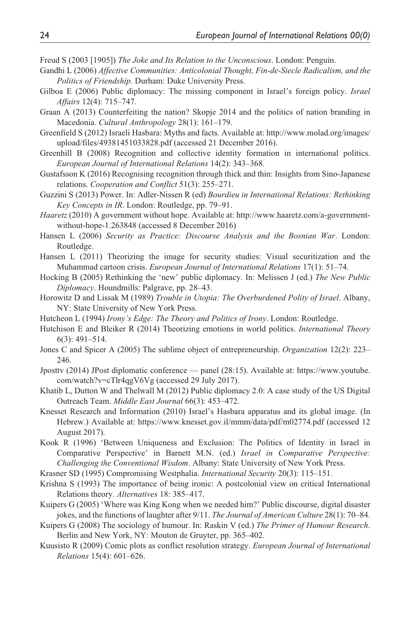Freud S (2003 [1905]) *The Joke and Its Relation to the Unconscious*. London: Penguin.

- Gandhi L (2006) *Affective Communities: Anticolonial Thought, Fin-de-Siecle Radicalism, and the Politics of Friendship*. Durham: Duke University Press.
- Gilboa E (2006) Public diplomacy: The missing component in Israel's foreign policy. *Israel Affairs* 12(4): 715–747.
- Graan A (2013) Counterfeiting the nation? Skopje 2014 and the politics of nation branding in Macedonia. *Cultural Anthropology* 28(1): 161–179.
- Greenfield S (2012) Israeli Hasbara: Myths and facts. Available at: [http://www.molad.org/images/](http://www.molad.org/images/upload/files/49381451033828.pdf) [upload/files/49381451033828.pdf](http://www.molad.org/images/upload/files/49381451033828.pdf) (accessed 21 December 2016).
- Greenhill B (2008) Recognition and collective identity formation in international politics. *European Journal of International Relations* 14(2): 343–368.
- Gustafsson K (2016) Recognising recognition through thick and thin: Insights from Sino-Japanese relations. *Cooperation and Conflict* 51(3): 255–271.
- Guzzini S (2013) Power. In: Adler-Nissen R (ed) *Bourdieu in International Relations: Rethinking Key Concepts in IR*. London: Routledge, pp. 79–91.
- *Haaretz* (2010) A government without hope. Available at: [http://www.haaretz.com/a-government](http://www.haaretz.com/a-government-without-hope-1.263848)[without-hope-1.263848](http://www.haaretz.com/a-government-without-hope-1.263848) (accessed 8 December 2016)
- Hansen L (2006) *Security as Practice: Discourse Analysis and the Bosnian War*. London: Routledge.
- Hansen L (2011) Theorizing the image for security studies: Visual securitization and the Muhammad cartoon crisis. *European Journal of International Relations* 17(1): 51–74.
- Hocking B (2005) Rethinking the 'new' public diplomacy. In: Melissen J (ed.) *The New Public Diplomacy*. Houndmills: Palgrave, pp. 28–43.
- Horowitz D and Lissak M (1989) *Trouble in Utopia: The Overburdened Polity of Israel*. Albany, NY: State University of New York Press.
- Hutcheon L (1994) *Irony's Edge: The Theory and Politics of Irony*. London: Routledge.
- Hutchison E and Bleiker R (2014) Theorizing emotions in world politics. *International Theory* 6(3): 491–514.
- Jones C and Spicer A (2005) The sublime object of entrepreneurship. *Organization* 12(2): 223– 246.
- Jposttv (2014) JPost diplomatic conference panel (28:15). Available at: [https://www.youtube.](https://www.youtube.com/watch?v=cTlr4qgV6Vg) [com/watch?v=cTlr4qgV6Vg](https://www.youtube.com/watch?v=cTlr4qgV6Vg) (accessed 29 July 2017).
- Khatib L, Dutton W and Thelwall M (2012) Public diplomacy 2.0: A case study of the US Digital Outreach Team. *Middle East Journal* 66(3): 453–472.
- Knesset Research and Information (2010) Israel's Hasbara apparatus and its global image. (In Hebrew.) Available at: <https://www.knesset.gov.il/mmm/data/pdf/m02774.pdf>(accessed 12 August 2017).
- Kook R (1996) 'Between Uniqueness and Exclusion: The Politics of Identity in Israel in Comparative Perspective' in Barnett M.N. (ed.) *Israel in Comparative Perspective: Challenging the Conventional Wisdom*. Albany: State University of New York Press.
- Krasner SD (1995) Compromising Westphalia. *International Security* 20(3): 115–151.
- Krishna S (1993) The importance of being ironic: A postcolonial view on critical International Relations theory. *Alternatives* 18: 385–417.
- Kuipers G (2005) 'Where was King Kong when we needed him?' Public discourse, digital disaster jokes, and the functions of laughter after 9/11. *The Journal of American Culture* 28(1): 70–84.
- Kuipers G (2008) The sociology of humour. In: Raskin V (ed.) *The Primer of Humour Research*. Berlin and New York, NY: Mouton de Gruyter, pp. 365–402.
- Kuusisto R (2009) Comic plots as conflict resolution strategy. *European Journal of International Relations* 15(4): 601–626.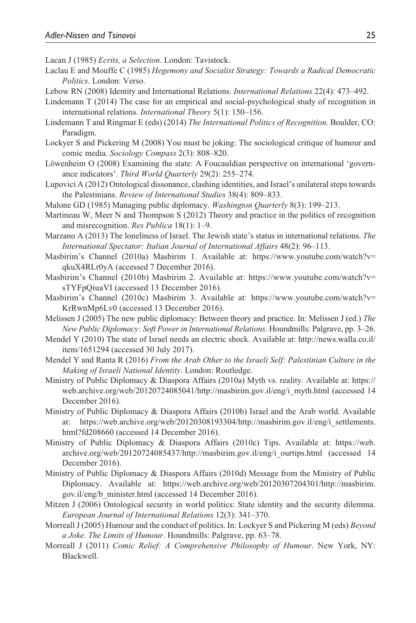Lacan J (1985) *Ecrits, a Selection*. London: Tavistock.

- Laclau E and Mouffe C (1985) *Hegemony and Socialist Strategy: Towards a Radical Democratic Politics*. London: Verso.
- Lebow RN (2008) Identity and International Relations. *International Relations* 22(4): 473–492.
- Lindemann T (2014) The case for an empirical and social-psychological study of recognition in international relations. *International Theory* 5(1): 150–156.
- Lindemann T and Ringmar E (eds) (2014) *The International Politics of Recognition*. Boulder, CO: Paradigm.
- Lockyer S and Pickering M (2008) You must be joking: The sociological critique of humour and comic media. *Sociology Compass* 2(3): 808–820.
- Löwenheim O (2008) Examining the state: A Foucauldian perspective on international 'governance indicators'. *Third World Quarterly* 29(2): 255–274.
- Lupovici A (2012) Ontological dissonance, clashing identities, and Israel's unilateral steps towards the Palestinians. *Review of International Studies* 38(4): 809–833.
- Malone GD (1985) Managing public diplomacy. *Washington Quarterly* 8(3): 199–213.
- Martineau W, Meer N and Thompson S (2012) Theory and practice in the politics of recognition and misrecognition. *Res Publica* 18(1): 1–9.
- Marzano A (2013) The loneliness of Israel. The Jewish state's status in international relations. *The International Spectator: Italian Journal of International Affairs* 48(2): 96–113.
- Masbirim's Channel (2010a) Masbirim 1. Available at: [https://www.youtube.com/watch?v=](https://www.youtube.com/watch?v=
qkuX4RLr0yA) [qkuX4RLr0yA](https://www.youtube.com/watch?v=
qkuX4RLr0yA) (accessed 7 December 2016).
- Masbirim's Channel (2010b) Masbirim 2. Available at: [https://www.youtube.com/watch?v=](https://www.youtube.com/watch?v=
sTYFpQiuaVI) [sTYFpQiuaVI](https://www.youtube.com/watch?v=
sTYFpQiuaVI) (accessed 13 December 2016).
- Masbirim's Channel (2010c) Masbirim 3. Available at: [https://www.youtube.com/watch?v=](https://www.youtube.com/watch?v=
KrRwnMp6Lv0) [KrRwnMp6Lv0](https://www.youtube.com/watch?v=
KrRwnMp6Lv0) (accessed 13 December 2016).
- Melissen J (2005) The new public diplomacy: Between theory and practice. In: Melissen J (ed.) *The New Public Diplomacy: Soft Power in International Relations*. Houndmills: Palgrave, pp. 3–26.
- Mendel Y (2010) The state of Israel needs an electric shock. Available at: [http://news.walla.co.il/](http://news.walla.co.il/item/1651294) [item/1651294](http://news.walla.co.il/item/1651294) (accessed 30 July 2017).
- Mendel Y and Ranta R (2016) *From the Arab Other to the Israeli Self: Palestinian Culture in the Making of Israeli National Identity*. London: Routledge.
- Ministry of Public Diplomacy & Diaspora Affairs (2010a) Myth vs. reality. Available at: [https://](https://web.archive.org/web/20120724085041/http://masbirim.gov.il/eng/i_myth.html) [web.archive.org/web/20120724085041/http://masbirim.gov.il/eng/i\\_myth.html](https://web.archive.org/web/20120724085041/http://masbirim.gov.il/eng/i_myth.html) (accessed 14 December 2016).
- Ministry of Public Diplomacy & Diaspora Affairs (2010b) Israel and the Arab world. Available at: [https://web.archive.org/web/20120308193304/http://masbirim.gov.il/eng/i\\_settlements.](https://web.archive.org/web/20120308193304/http://masbirim.gov.il/eng/i_settlements.html?fd208660) [html?fd208660](https://web.archive.org/web/20120308193304/http://masbirim.gov.il/eng/i_settlements.html?fd208660) (accessed 14 December 2016).
- Ministry of Public Diplomacy & Diaspora Affairs (2010c) Tips. Available at: [https://web.](https://web.archive.org/web/20120724085437/http://masbirim.gov.il/eng/i_ourtips.html) [archive.org/web/20120724085437/http://masbirim.gov.il/eng/i\\_ourtips.html](https://web.archive.org/web/20120724085437/http://masbirim.gov.il/eng/i_ourtips.html) (accessed 14 December 2016).
- Ministry of Public Diplomacy & Diaspora Affairs (2010d) Message from the Ministry of Public Diplomacy. Available at: [https://web.archive.org/web/20120307204301/http://masbirim.](https://web.archive.org/web/20120307204301/http://masbirim.gov.il/eng/b_minister.html) [gov.il/eng/b\\_minister.html](https://web.archive.org/web/20120307204301/http://masbirim.gov.il/eng/b_minister.html) (accessed 14 December 2016).
- Mitzen J (2006) Ontological security in world politics: State identity and the security dilemma. *European Journal of International Relations* 12(3): 341–370.
- Morreall J (2005) Humour and the conduct of politics. In: Lockyer S and Pickering M (eds) *Beyond a Joke. The Limits of Humour*. Houndmills: Palgrave, pp. 63–78.
- Morreall J (2011) *Comic Relief: A Comprehensive Philosophy of Humour*. New York, NY: Blackwell.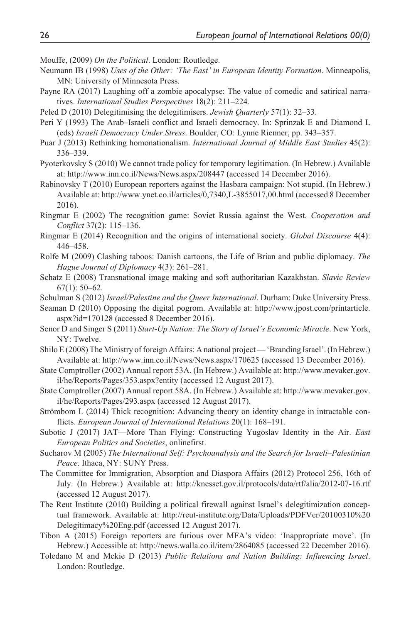Mouffe, (2009) *On the Political*. London: Routledge.

- Neumann IB (1998) *Uses of the Other: 'The East' in European Identity Formation*. Minneapolis, MN: University of Minnesota Press.
- Payne RA (2017) Laughing off a zombie apocalypse: The value of comedic and satirical narratives. *International Studies Perspectives* 18(2): 211–224.
- Peled D (2010) Delegitimising the delegitimisers. *Jewish Quarterly* 57(1): 32–33.
- Peri Y (1993) The Arab–Israeli conflict and Israeli democracy. In: Sprinzak E and Diamond L (eds) *Israeli Democracy Under Stress*. Boulder, CO: Lynne Rienner, pp. 343–357.
- Puar J (2013) Rethinking homonationalism. *International Journal of Middle East Studies* 45(2): 336–339.
- Pyoterkovsky S (2010) We cannot trade policy for temporary legitimation. (In Hebrew.) Available at: <http://www.inn.co.il/News/News.aspx/208447>(accessed 14 December 2016).
- Rabinovsky T (2010) European reporters against the Hasbara campaign: Not stupid. (In Hebrew.) Available at:<http://www.ynet.co.il/articles/0,7340,L-3855017,00.html>(accessed 8 December 2016).
- Ringmar E (2002) The recognition game: Soviet Russia against the West. *Cooperation and Conflict* 37(2): 115–136.
- Ringmar E (2014) Recognition and the origins of international society. *Global Discourse* 4(4): 446–458.
- Rolfe M (2009) Clashing taboos: Danish cartoons, the Life of Brian and public diplomacy. *The Hague Journal of Diplomacy* 4(3): 261–281.
- Schatz E (2008) Transnational image making and soft authoritarian Kazakhstan. *Slavic Review* 67(1): 50–62.
- Schulman S (2012) *Israel/Palestine and the Queer International*. Durham: Duke University Press.
- Seaman D (2010) Opposing the digital pogrom. Available at: [http://www.jpost.com/printarticle.](http://www.jpost.com/printarticle.aspx?id=170128) [aspx?id=170128](http://www.jpost.com/printarticle.aspx?id=170128) (accessed 8 December 2016).
- Senor D and Singer S (2011) *Start-Up Nation: The Story of Israel's Economic Miracle*. New York, NY: Twelve.
- Shilo E (2008) The Ministry of foreign Affairs: A national project 'Branding Israel'. (In Hebrew.) Available at:<http://www.inn.co.il/News/News.aspx/170625> (accessed 13 December 2016).
- State Comptroller (2002) Annual report 53A. (In Hebrew.) Available at: [http://www.mevaker.gov.](http://www.mevaker.gov.il/he/Reports/Pages/353.aspx?entity) [il/he/Reports/Pages/353.aspx?entity](http://www.mevaker.gov.il/he/Reports/Pages/353.aspx?entity) (accessed 12 August 2017).
- State Comptroller (2007) Annual report 58A. (In Hebrew.) Available at: [http://www.mevaker.gov.](http://www.mevaker.gov.il/he/Reports/Pages/293.aspx) [il/he/Reports/Pages/293.aspx](http://www.mevaker.gov.il/he/Reports/Pages/293.aspx) (accessed 12 August 2017).
- Strömbom L (2014) Thick recognition: Advancing theory on identity change in intractable conflicts. *European Journal of International Relations* 20(1): 168–191.
- Subotic J (2017) JAT—More Than Flying: Constructing Yugoslav Identity in the Air. *East European Politics and Societies*, onlinefirst.
- Sucharov M (2005) *The International Self: Psychoanalysis and the Search for Israeli–Palestinian Peace*. Ithaca, NY: SUNY Press.
- The Committee for Immigration, Absorption and Diaspora Affairs (2012) Protocol 256, 16th of July. (In Hebrew.) Available at: http://knesset.gov.il/protocols/data/rtf/alia/2012-07-16.rtf (accessed 12 August 2017).
- The Reut Institute (2010) Building a political firewall against Israel's delegitimization conceptual framework. Available at: [http://reut-institute.org/Data/Uploads/PDFVer/20100310%20](http://reut-institute.org/Data/Uploads/PDFVer/20100310%20Delegitimacy%20Eng.pdf) [Delegitimacy%20Eng.pdf](http://reut-institute.org/Data/Uploads/PDFVer/20100310%20Delegitimacy%20Eng.pdf) (accessed 12 August 2017).
- Tibon A (2015) Foreign reporters are furious over MFA's video: 'Inappropriate move'. (In Hebrew.) Accessible at: <http://news.walla.co.il/item/2864085> (accessed 22 December 2016).
- Toledano M and Mckie D (2013) *Public Relations and Nation Building: Influencing Israel*. London: Routledge.